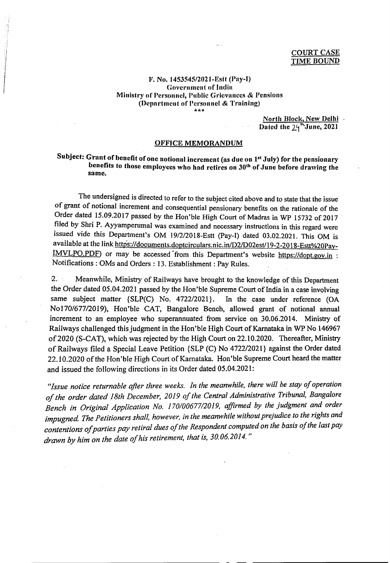## F. No. 1453545/2021-Estt (Pay-I) **Government of India** Ministry of Personnel, Public Grievances & Pensions (Department of Personnel & Training) \*\*\*

North Block, New Delhi Dated the 24"June, 2021

## **OFFICE MEMORANDUM**

## Subject: Grant of benefit of one notional increment (as due on 1st July) for the pensionary benefits to those employees who had retires on 30<sup>th</sup> of June before drawing the same.

The undersigned is directed to refer to the subject cited above and to state that the issue of grant of notional increment and consequential pensionary benefits on the rationale of the Order dated 15.09.2017 passed by the Hon'ble High Court of Madras in WP 15732 of 2017 filed by Shri P. Ayyamperumal was examined and necessary instructions in this regard were issued vide this Department's OM 19/2/2018-Estt (Pay-I) dated 03.02.2021. This OM is available at the link https://documents.doptcirculars.nic.in/D2/D02est/19-2-2018-Estt%20Pay-IMVLPO.PDF) or may be accessed from this Department's website https://dopt.gov.in : Notifications: OMs and Orders: 13. Establishment: Pay Rules.

 $2.1$ Meanwhile, Ministry of Railways have brought to the knowledge of this Department the Order dated 05.04.2021 passed by the Hon'ble Supreme Court of India in a case involving same subject matter {SLP(C) No. 4722/2021}. In the case under reference (OA No170/677/2019), Hon'ble CAT, Bangalore Bench, allowed grant of notional annual increment to an employee who superannuated from service on 30.06.2014. Ministry of Railways challenged this judgment in the Hon'ble High Court of Karnataka in WP No 146967 of 2020 (S-CAT), which was rejected by the High Court on 22.10.2020. Thereafter, Ministry of Railways filed a Special Leave Petition {SLP (C) No 4722/2021} against the Order dated 22.10.2020 of the Hon'ble High Court of Karnataka. Hon'ble Supreme Court heard the matter and issued the following directions in its Order dated 05.04.2021:

"Issue notice returnable after three weeks. In the meanwhile, there will be stay of operation of the order dated 18th December, 2019 of the Central Administrative Tribunal, Bangalore Bench in Original Application No. 170/00677/2019, affirmed by the judgment and order impugned. The Petitioners shall, however, in the meanwhile without prejudice to the rights and contentions of parties pay retiral dues of the Respondent computed on the basis of the last pay drawn by him on the date of his retirement, that is, 30.06.2014."